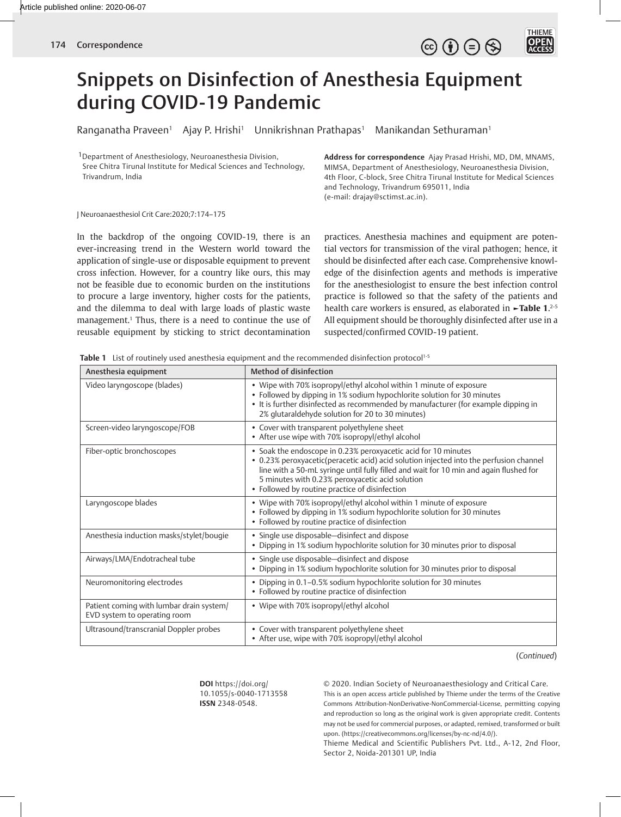

# Snippets on Disinfection of Anesthesia Equipment during COVID-19 Pandemic

Ranganatha Praveen<sup>1</sup> Ajay P. Hrishi<sup>1</sup> Unnikrishnan Prathapas<sup>1</sup> Manikandan Sethuraman<sup>1</sup>

<sup>1</sup>Department of Anesthesiology, Neuroanesthesia Division, Sree Chitra Tirunal Institute for Medical Sciences and Technology, Trivandrum, India

**Address for correspondence** Ajay Prasad Hrishi, MD, DM, MNAMS, MIMSA, Department of Anesthesiology, Neuroanesthesia Division, 4th Floor, C-block, Sree Chitra Tirunal Institute for Medical Sciences and Technology, Trivandrum 695011, India (e-mail: drajay@sctimst.ac.in).

#### J Neuroanaesthesiol Crit Care:2020;7:174–175

In the backdrop of the ongoing COVID-19, there is an ever-increasing trend in the Western world toward the application of single-use or disposable equipment to prevent cross infection. However, for a country like ours, this may not be feasible due to economic burden on the institutions to procure a large inventory, higher costs for the patients, and the dilemma to deal with large loads of plastic waste management.1 Thus, there is a need to continue the use of reusable equipment by sticking to strict decontamination

practices. Anesthesia machines and equipment are potential vectors for transmission of the viral pathogen; hence, it should be disinfected after each case. Comprehensive knowledge of the disinfection agents and methods is imperative for the anesthesiologist to ensure the best infection control practice is followed so that the safety of the patients and health care workers is ensured, as elaborated in **►Table 1**. 2-5 All equipment should be thoroughly disinfected after use in a suspected/confirmed COVID-19 patient.

**Table 1** List of routinely used anesthesia equipment and the recommended disinfection protocol<sup>1-5</sup>

| Anesthesia equipment                                                     | Method of disinfection                                                                                                                                                                                                                                                                                                                                  |
|--------------------------------------------------------------------------|---------------------------------------------------------------------------------------------------------------------------------------------------------------------------------------------------------------------------------------------------------------------------------------------------------------------------------------------------------|
| Video laryngoscope (blades)                                              | • Wipe with 70% isopropyl/ethyl alcohol within 1 minute of exposure<br>• Followed by dipping in 1% sodium hypochlorite solution for 30 minutes<br>• It is further disinfected as recommended by manufacturer (for example dipping in<br>2% glutaraldehyde solution for 20 to 30 minutes)                                                                |
| Screen-video laryngoscope/FOB                                            | • Cover with transparent polyethylene sheet<br>• After use wipe with 70% isopropyl/ethyl alcohol                                                                                                                                                                                                                                                        |
| Fiber-optic bronchoscopes                                                | • Soak the endoscope in 0.23% peroxyacetic acid for 10 minutes<br>• 0.23% peroxyacetic(peracetic acid) acid solution injected into the perfusion channel<br>line with a 50-mL syringe until fully filled and wait for 10 min and again flushed for<br>5 minutes with 0.23% peroxyacetic acid solution<br>• Followed by routine practice of disinfection |
| Laryngoscope blades                                                      | • Wipe with 70% isopropyl/ethyl alcohol within 1 minute of exposure<br>• Followed by dipping in 1% sodium hypochlorite solution for 30 minutes<br>• Followed by routine practice of disinfection                                                                                                                                                        |
| Anesthesia induction masks/stylet/bougie                                 | • Single use disposable-disinfect and dispose<br>• Dipping in 1% sodium hypochlorite solution for 30 minutes prior to disposal                                                                                                                                                                                                                          |
| Airways/LMA/Endotracheal tube                                            | • Single use disposable-disinfect and dispose<br>• Dipping in 1% sodium hypochlorite solution for 30 minutes prior to disposal                                                                                                                                                                                                                          |
| Neuromonitoring electrodes                                               | • Dipping in 0.1-0.5% sodium hypochlorite solution for 30 minutes<br>• Followed by routine practice of disinfection                                                                                                                                                                                                                                     |
| Patient coming with lumbar drain system/<br>EVD system to operating room | • Wipe with 70% isopropyl/ethyl alcohol                                                                                                                                                                                                                                                                                                                 |
| Ultrasound/transcranial Doppler probes                                   | • Cover with transparent polyethylene sheet<br>• After use, wipe with 70% isopropyl/ethyl alcohol                                                                                                                                                                                                                                                       |

(*Continued*)

**DOI** https://doi.org/ 10.1055/s-0040-1713558 **ISSN** 2348-0548.

© 2020. Indian Society of Neuroanaesthesiology and Critical Care. This is an open access article published by Thieme under the terms of the Creative Commons Attribution-NonDerivative-NonCommercial-License, permitting copying and reproduction so long as the original work is given appropriate credit. Contents may not be used for commercial purposes, or adapted, remixed, transformed or built upon. (https://creativecommons.org/licenses/by-nc-nd/4.0/).

Thieme Medical and Scientific Publishers Pvt. Ltd., A-12, 2nd Floor, Sector 2, Noida-201301 UP, India